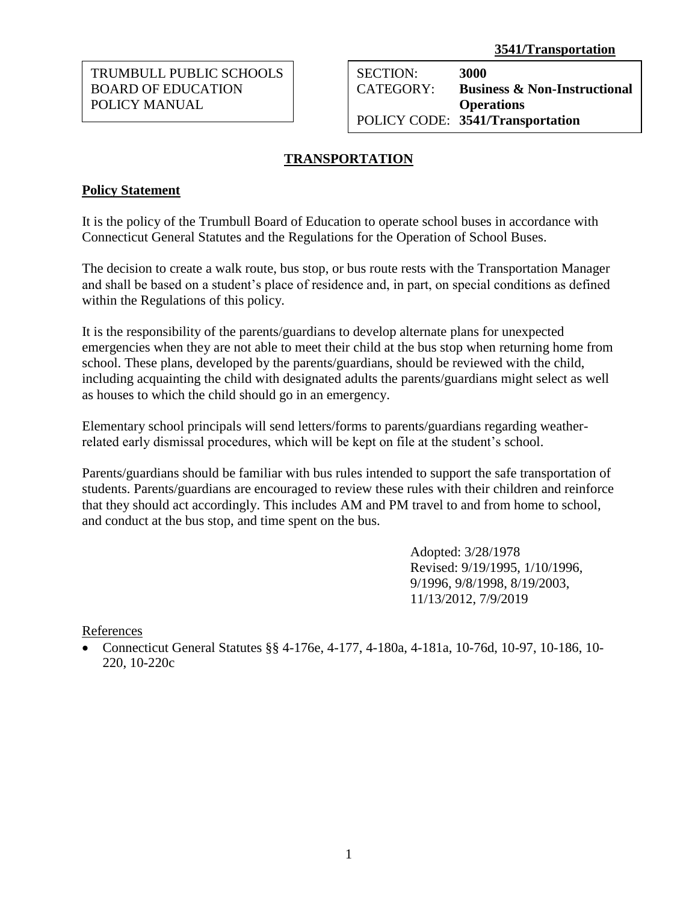TRUMBULL PUBLIC SCHOOLS BOARD OF EDUCATION POLICY MANUAL

SECTION: **3000** CATEGORY: **Business & Non-Instructional Operations** POLICY CODE: **3541/Transportation**

# **TRANSPORTATION**

### **Policy Statement**

It is the policy of the Trumbull Board of Education to operate school buses in accordance with Connecticut General Statutes and the Regulations for the Operation of School Buses.

The decision to create a walk route, bus stop, or bus route rests with the Transportation Manager and shall be based on a student's place of residence and, in part, on special conditions as defined within the Regulations of this policy.

It is the responsibility of the parents/guardians to develop alternate plans for unexpected emergencies when they are not able to meet their child at the bus stop when returning home from school. These plans, developed by the parents/guardians, should be reviewed with the child, including acquainting the child with designated adults the parents/guardians might select as well as houses to which the child should go in an emergency.

Elementary school principals will send letters/forms to parents/guardians regarding weatherrelated early dismissal procedures, which will be kept on file at the student's school.

Parents/guardians should be familiar with bus rules intended to support the safe transportation of students. Parents/guardians are encouraged to review these rules with their children and reinforce that they should act accordingly. This includes AM and PM travel to and from home to school, and conduct at the bus stop, and time spent on the bus.

> Adopted: 3/28/1978 Revised: 9/19/1995, 1/10/1996, 9/1996, 9/8/1998, 8/19/2003, 11/13/2012, 7/9/2019

References

 Connecticut General Statutes §§ 4-176e, 4-177, 4-180a, 4-181a, 10-76d, 10-97, 10-186, 10- 220, 10-220c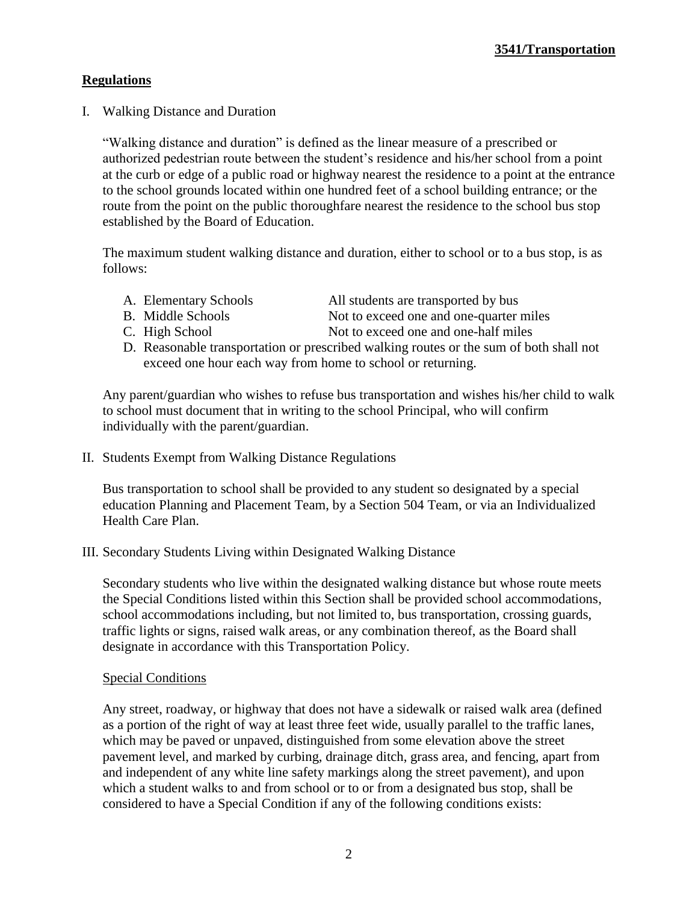# **Regulations**

I. Walking Distance and Duration

"Walking distance and duration" is defined as the linear measure of a prescribed or authorized pedestrian route between the student's residence and his/her school from a point at the curb or edge of a public road or highway nearest the residence to a point at the entrance to the school grounds located within one hundred feet of a school building entrance; or the route from the point on the public thoroughfare nearest the residence to the school bus stop established by the Board of Education.

The maximum student walking distance and duration, either to school or to a bus stop, is as follows:

- 
- A. Elementary Schools All students are transported by bus
- B. Middle Schools Not to exceed one and one-quarter miles
- 
- C. High School Not to exceed one and one-half miles
- D. Reasonable transportation or prescribed walking routes or the sum of both shall not exceed one hour each way from home to school or returning.

Any parent/guardian who wishes to refuse bus transportation and wishes his/her child to walk to school must document that in writing to the school Principal, who will confirm individually with the parent/guardian.

II. Students Exempt from Walking Distance Regulations

Bus transportation to school shall be provided to any student so designated by a special education Planning and Placement Team, by a Section 504 Team, or via an Individualized Health Care Plan.

III. Secondary Students Living within Designated Walking Distance

Secondary students who live within the designated walking distance but whose route meets the Special Conditions listed within this Section shall be provided school accommodations, school accommodations including, but not limited to, bus transportation, crossing guards, traffic lights or signs, raised walk areas, or any combination thereof, as the Board shall designate in accordance with this Transportation Policy.

#### Special Conditions

Any street, roadway, or highway that does not have a sidewalk or raised walk area (defined as a portion of the right of way at least three feet wide, usually parallel to the traffic lanes, which may be paved or unpaved, distinguished from some elevation above the street pavement level, and marked by curbing, drainage ditch, grass area, and fencing, apart from and independent of any white line safety markings along the street pavement), and upon which a student walks to and from school or to or from a designated bus stop, shall be considered to have a Special Condition if any of the following conditions exists: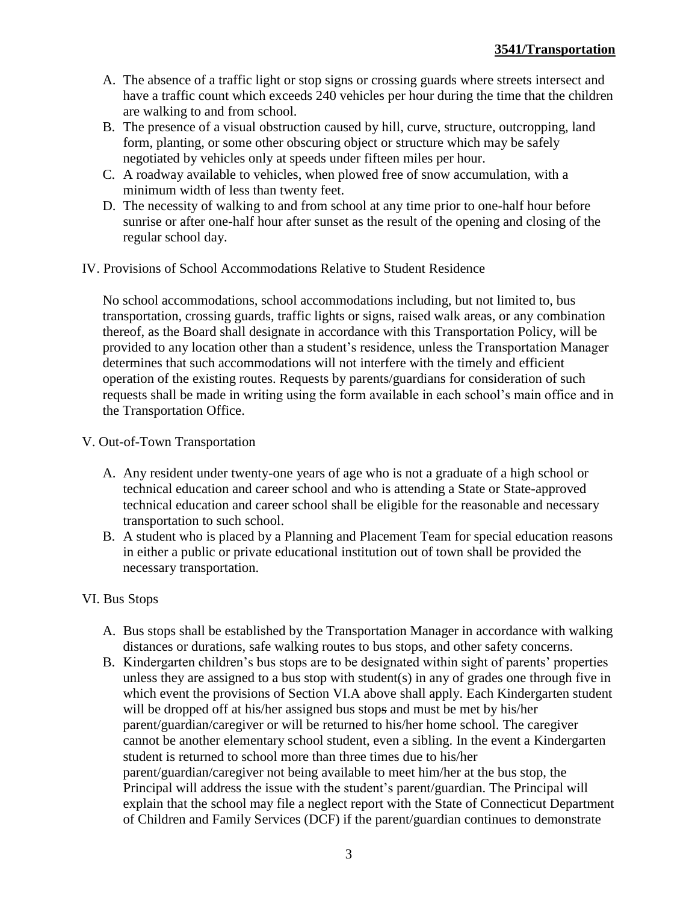- A. The absence of a traffic light or stop signs or crossing guards where streets intersect and have a traffic count which exceeds 240 vehicles per hour during the time that the children are walking to and from school.
- B. The presence of a visual obstruction caused by hill, curve, structure, outcropping, land form, planting, or some other obscuring object or structure which may be safely negotiated by vehicles only at speeds under fifteen miles per hour.
- C. A roadway available to vehicles, when plowed free of snow accumulation, with a minimum width of less than twenty feet.
- D. The necessity of walking to and from school at any time prior to one-half hour before sunrise or after one-half hour after sunset as the result of the opening and closing of the regular school day.
- IV. Provisions of School Accommodations Relative to Student Residence

No school accommodations, school accommodations including, but not limited to, bus transportation, crossing guards, traffic lights or signs, raised walk areas, or any combination thereof, as the Board shall designate in accordance with this Transportation Policy, will be provided to any location other than a student's residence, unless the Transportation Manager determines that such accommodations will not interfere with the timely and efficient operation of the existing routes. Requests by parents/guardians for consideration of such requests shall be made in writing using the form available in each school's main office and in the Transportation Office.

### V. Out-of-Town Transportation

- A. Any resident under twenty-one years of age who is not a graduate of a high school or technical education and career school and who is attending a State or State-approved technical education and career school shall be eligible for the reasonable and necessary transportation to such school.
- B. A student who is placed by a Planning and Placement Team for special education reasons in either a public or private educational institution out of town shall be provided the necessary transportation.

## VI. Bus Stops

- A. Bus stops shall be established by the Transportation Manager in accordance with walking distances or durations, safe walking routes to bus stops, and other safety concerns.
- B. Kindergarten children's bus stops are to be designated within sight of parents' properties unless they are assigned to a bus stop with student(s) in any of grades one through five in which event the provisions of Section VI.A above shall apply. Each Kindergarten student will be dropped off at his/her assigned bus stops and must be met by his/her parent/guardian/caregiver or will be returned to his/her home school. The caregiver cannot be another elementary school student, even a sibling. In the event a Kindergarten student is returned to school more than three times due to his/her parent/guardian/caregiver not being available to meet him/her at the bus stop, the Principal will address the issue with the student's parent/guardian. The Principal will explain that the school may file a neglect report with the State of Connecticut Department of Children and Family Services (DCF) if the parent/guardian continues to demonstrate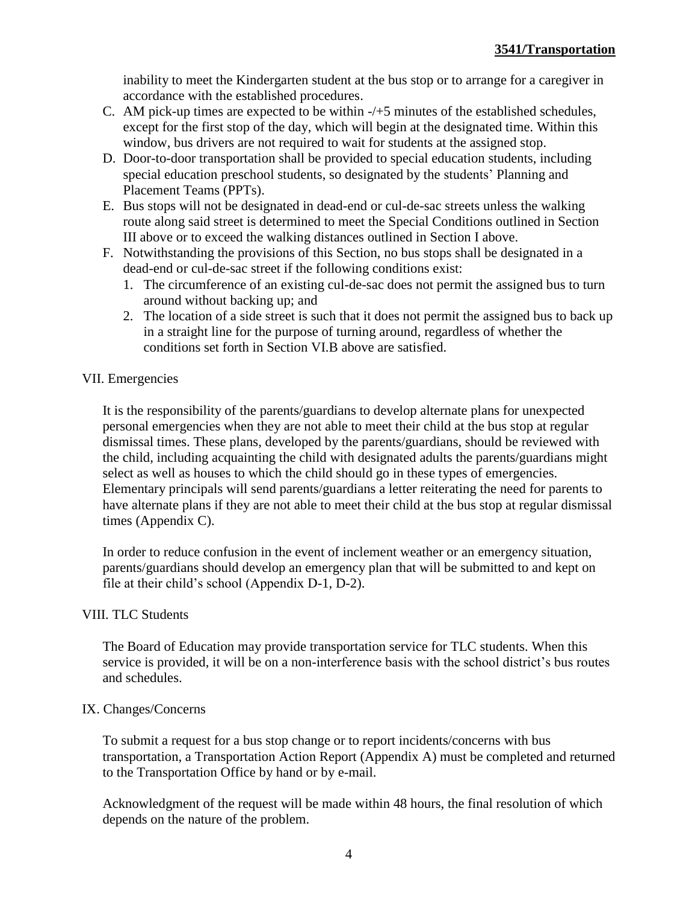inability to meet the Kindergarten student at the bus stop or to arrange for a caregiver in accordance with the established procedures.

- C. AM pick-up times are expected to be within  $-\sqrt{+5}$  minutes of the established schedules, except for the first stop of the day, which will begin at the designated time. Within this window, bus drivers are not required to wait for students at the assigned stop.
- D. Door-to-door transportation shall be provided to special education students, including special education preschool students, so designated by the students' Planning and Placement Teams (PPTs).
- E. Bus stops will not be designated in dead-end or cul-de-sac streets unless the walking route along said street is determined to meet the Special Conditions outlined in Section III above or to exceed the walking distances outlined in Section I above.
- F. Notwithstanding the provisions of this Section, no bus stops shall be designated in a dead-end or cul-de-sac street if the following conditions exist:
	- 1. The circumference of an existing cul-de-sac does not permit the assigned bus to turn around without backing up; and
	- 2. The location of a side street is such that it does not permit the assigned bus to back up in a straight line for the purpose of turning around, regardless of whether the conditions set forth in Section VI.B above are satisfied.

## VII. Emergencies

It is the responsibility of the parents/guardians to develop alternate plans for unexpected personal emergencies when they are not able to meet their child at the bus stop at regular dismissal times. These plans, developed by the parents/guardians, should be reviewed with the child, including acquainting the child with designated adults the parents/guardians might select as well as houses to which the child should go in these types of emergencies. Elementary principals will send parents/guardians a letter reiterating the need for parents to have alternate plans if they are not able to meet their child at the bus stop at regular dismissal times (Appendix C).

In order to reduce confusion in the event of inclement weather or an emergency situation, parents/guardians should develop an emergency plan that will be submitted to and kept on file at their child's school (Appendix D-1, D-2).

#### VIII. TLC Students

The Board of Education may provide transportation service for TLC students. When this service is provided, it will be on a non-interference basis with the school district's bus routes and schedules.

#### IX. Changes/Concerns

To submit a request for a bus stop change or to report incidents/concerns with bus transportation, a Transportation Action Report (Appendix A) must be completed and returned to the Transportation Office by hand or by e-mail.

Acknowledgment of the request will be made within 48 hours, the final resolution of which depends on the nature of the problem.